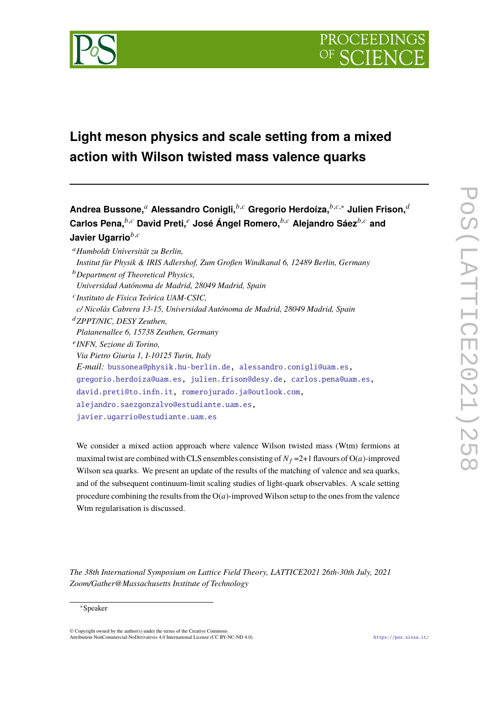

# **Light meson physics and scale setting from a mixed action with Wilson twisted mass valence quarks**

**Andrea Bussone,**<sup>*a*</sup> Alessandro Conigli,<sup>*b,c*</sup> Gregorio Herdoíza,<sup>*b,c,∗*</sup> Julien Frison,<sup>*d*</sup> **Carlos Pena,**𝑏,𝑐 **David Preti,**<sup>𝑒</sup> **José Ángel Romero,**𝑏,𝑐 **Alejandro Sáez**𝑏,𝑐 **and Javier Ugarrio**<sup>b,c</sup>

<sup>𝑎</sup>*Humboldt Universität zu Berlin, Institut für Physik & IRIS Adlershof, Zum Großen Windkanal 6, 12489 Berlin, Germany* <sup>𝑏</sup>*Department of Theoretical Physics, Universidad Autónoma de Madrid, 28049 Madrid, Spain* 𝑐 *Instituto de Física Teórica UAM-CSIC, c/ Nicolás Cabrera 13-15, Universidad Autónoma de Madrid, 28049 Madrid, Spain* <sup>𝑑</sup>*ZPPT/NIC, DESY Zeuthen, Platanenallee 6, 15738 Zeuthen, Germany* 𝑒 *INFN, Sezione di Torino, Via Pietro Giuria 1, I-10125 Turin, Italy E-mail:* [bussonea@physik.hu-berlin.de,](mailto:bussonea@physik.hu-berlin.de) [alessandro.conigli@uam.es,](mailto:alessandro.conigli@uam.es) [gregorio.herdoiza@uam.es,](mailto:gregorio.herdoiza@uam.es) [julien.frison@desy.de,](mailto:julien.frison@desy.de) [carlos.pena@uam.es,](mailto:carlos.pena@uam.es) [david.preti@to.infn.it,](mailto:david.preti@to.infn.it) [romerojurado.ja@outlook.com,](mailto:romerojurado.ja@outlook.com) [alejandro.saezgonzalvo@estudiante.uam.es,](mailto:alejandro.saezgonzalvo@estudiante.uam.es) [javier.ugarrio@estudiante.uam.es](mailto:javier.ugarrio@estudiante.uam.es)

We consider a mixed action approach where valence Wilson twisted mass (Wtm) fermions at maximal twist are combined with CLS ensembles consisting of  $N_f = 2+1$  flavours of  $O(a)$ -improved Wilson sea quarks. We present an update of the results of the matching of valence and sea quarks, and of the subsequent continuum-limit scaling studies of light-quark observables. A scale setting procedure combining the results from the  $O(a)$ -improved Wilson setup to the ones from the valence Wtm regularisation is discussed.

*The 38th International Symposium on Lattice Field Theory, LATTICE2021 26th-30th July, 2021 Zoom/Gather@Massachusetts Institute of Technology*

#### <sup>∗</sup>Speaker

© Copyright owned by the author(s) under the terms of the Creative Commons Attribution-NonCommercial-NoDerivatives 4.0 International License (CC BY-NC-ND 4.0). <https://pos.sissa.it/>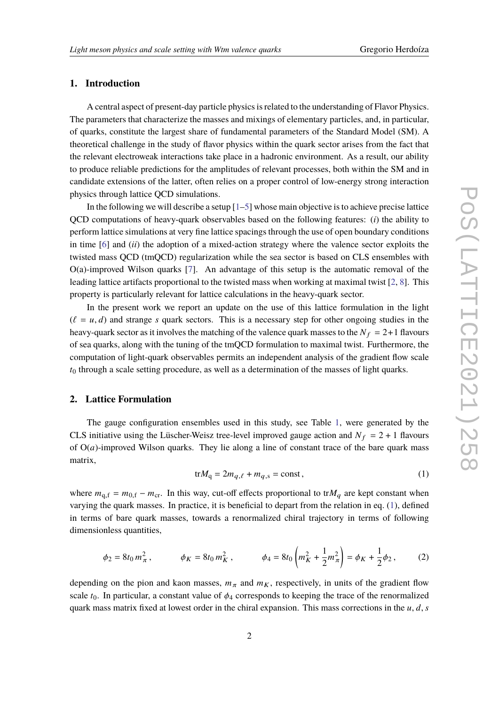#### **1. Introduction**

A central aspect of present-day particle physics is related to the understanding of Flavor Physics. The parameters that characterize the masses and mixings of elementary particles, and, in particular, of quarks, constitute the largest share of fundamental parameters of the Standard Model (SM). A theoretical challenge in the study of flavor physics within the quark sector arises from the fact that the relevant electroweak interactions take place in a hadronic environment. As a result, our ability to produce reliable predictions for the amplitudes of relevant processes, both within the SM and in candidate extensions of the latter, often relies on a proper control of low-energy strong interaction physics through lattice QCD simulations.

In the following we will describe a setup  $[1-5]$  $[1-5]$  whose main objective is to achieve precise lattice QCD computations of heavy-quark observables based on the following features: (*i*) the ability to perform lattice simulations at very fine lattice spacings through the use of open boundary conditions in time [\[6\]](#page-7-0) and (*ii*) the adoption of a mixed-action strategy where the valence sector exploits the twisted mass QCD (tmQCD) regularization while the sea sector is based on CLS ensembles with O(a)-improved Wilson quarks [\[7\]](#page-7-1). An advantage of this setup is the automatic removal of the leading lattice artifacts proportional to the twisted mass when working at maximal twist [\[2,](#page-6-2) [8\]](#page-7-2). This property is particularly relevant for lattice calculations in the heavy-quark sector.

In the present work we report an update on the use of this lattice formulation in the light  $(\ell = u, d)$  and strange s quark sectors. This is a necessary step for other ongoing studies in the heavy-quark sector as it involves the matching of the valence quark masses to the  $N_f = 2+1$  flavours of sea quarks, along with the tuning of the tmQCD formulation to maximal twist. Furthermore, the computation of light-quark observables permits an independent analysis of the gradient flow scale  $t_0$  through a scale setting procedure, as well as a determination of the masses of light quarks.

#### **2. Lattice Formulation**

The gauge configuration ensembles used in this study, see Table [1,](#page-2-0) were generated by the CLS initiative using the Lüscher-Weisz tree-level improved gauge action and  $N_f = 2 + 1$  flavours of  $O(a)$ -improved Wilson quarks. They lie along a line of constant trace of the bare quark mass matrix,

<span id="page-1-0"></span>
$$
\text{tr}M_{q} = 2m_{q,\ell} + m_{q,s} = \text{const},\tag{1}
$$

where  $m_{q,f} = m_{0,f} - m_{cr}$ . In this way, cut-off effects proportional to tr $M_q$  are kept constant when varying the quark masses. In practice, it is beneficial to depart from the relation in eq. [\(1\)](#page-1-0), defined in terms of bare quark masses, towards a renormalized chiral trajectory in terms of following dimensionless quantities,

<span id="page-1-1"></span>
$$
\phi_2 = 8t_0 m_\pi^2, \qquad \phi_K = 8t_0 m_K^2, \qquad \phi_4 = 8t_0 \left( m_K^2 + \frac{1}{2} m_\pi^2 \right) = \phi_K + \frac{1}{2} \phi_2, \qquad (2)
$$

depending on the pion and kaon masses,  $m_{\pi}$  and  $m_K$ , respectively, in units of the gradient flow scale  $t_0$ . In particular, a constant value of  $\phi_4$  corresponds to keeping the trace of the renormalized quark mass matrix fixed at lowest order in the chiral expansion. This mass corrections in the  $u, d, s$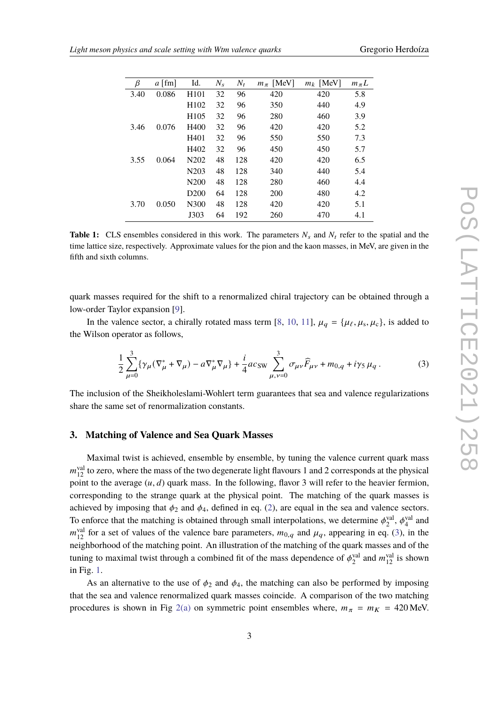<span id="page-2-0"></span>

| β    | $a$ [fm] | Id.               | $N_{\rm s}$ | $N_t$ | $m_\pi$ [MeV] | $m_k$ [MeV] | $m_{\pi}L$ |
|------|----------|-------------------|-------------|-------|---------------|-------------|------------|
| 3.40 | 0.086    | H <sub>101</sub>  | 32          | 96    | 420           | 420         | 5.8        |
|      |          | H <sub>102</sub>  | 32          | 96    | 350           | 440         | 4.9        |
|      |          | H <sub>105</sub>  | 32          | 96    | 280           | 460         | 3.9        |
| 3.46 | 0.076    | H400              | 32          | 96    | 420           | 420         | 5.2        |
|      |          | H401              | 32          | 96    | 550           | 550         | 7.3        |
|      |          | H402              | 32          | 96    | 450           | 450         | 5.7        |
| 3.55 | 0.064    | N202              | 48          | 128   | 420           | 420         | 6.5        |
|      |          | N <sub>2</sub> 03 | 48          | 128   | 340           | 440         | 5.4        |
|      |          | N <sub>200</sub>  | 48          | 128   | 280           | 460         | 4.4        |
|      |          | D <sub>200</sub>  | 64          | 128   | 200           | 480         | 4.2        |
| 3.70 | 0.050    | N300              | 48          | 128   | 420           | 420         | 5.1        |
|      |          | J303              | 64          | 192   | 260           | 470         | 4.1        |

**Table 1:** CLS ensembles considered in this work. The parameters  $N_s$  and  $N_t$  refer to the spatial and the time lattice size, respectively. Approximate values for the pion and the kaon masses, in MeV, are given in the fifth and sixth columns.

quark masses required for the shift to a renormalized chiral trajectory can be obtained through a low-order Taylor expansion [\[9\]](#page-7-3).

In the valence sector, a chirally rotated mass term [\[8,](#page-7-2) [10,](#page-7-4) [11\]](#page-7-5),  $\mu_q = {\mu_\ell, \mu_s, \mu_c}$ , is added to the Wilson operator as follows,

<span id="page-2-1"></span>
$$
\frac{1}{2} \sum_{\mu=0}^{3} {\{\gamma_{\mu} (\nabla_{\mu}^{*} + \nabla_{\mu}) - a \nabla_{\mu}^{*} \nabla_{\mu} \} + \frac{i}{4} a c_{SW} \sum_{\mu, \nu=0}^{3} \sigma_{\mu \nu} \widehat{F}_{\mu \nu} + m_{0,q} + i \gamma_{5} \mu_{q}}.
$$
 (3)

The inclusion of the Sheikholeslami-Wohlert term guarantees that sea and valence regularizations share the same set of renormalization constants.

#### **3. Matching of Valence and Sea Quark Masses**

Maximal twist is achieved, ensemble by ensemble, by tuning the valence current quark mass  $m_{12}^{\text{val}}$  to zero, where the mass of the two degenerate light flavours 1 and 2 corresponds at the physical point to the average  $(u, d)$  quark mass. In the following, flavor 3 will refer to the heavier fermion, corresponding to the strange quark at the physical point. The matching of the quark masses is achieved by imposing that  $\phi_2$  and  $\phi_4$ , defined in eq. [\(2\)](#page-1-1), are equal in the sea and valence sectors. To enforce that the matching is obtained through small interpolations, we determine  $\phi_2^{\text{val}}, \phi_4^{\text{val}}$  and  $m_{12}^{\text{val}}$  for a set of values of the valence bare parameters,  $m_{0,q}$  and  $\mu_q$ , appearing in eq. [\(3\)](#page-2-1), in the neighborhood of the matching point. An illustration of the matching of the quark masses and of the tuning to maximal twist through a combined fit of the mass dependence of  $\phi_2^{\text{val}}$  and  $m_{12}^{\text{val}}$  is shown in Fig. [1.](#page-3-0)

As an alternative to the use of  $\phi_2$  and  $\phi_4$ , the matching can also be performed by imposing that the sea and valence renormalized quark masses coincide. A comparison of the two matching procedures is shown in Fig [2\(a\)](#page-4-0) on symmetric point ensembles where,  $m_{\pi} = m_K = 420$  MeV.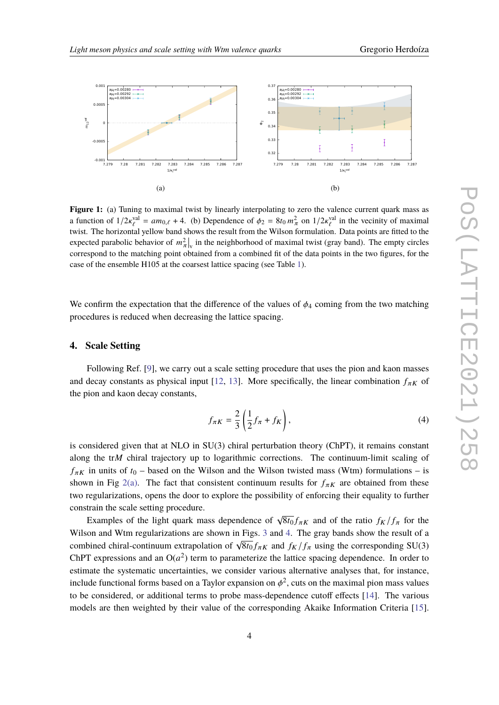<span id="page-3-0"></span>

**Figure 1:** (a) Tuning to maximal twist by linearly interpolating to zero the valence current quark mass as a function of  $1/2\kappa_{\ell}^{\text{val}} = am_{0,\ell} + 4$ . (b) Dependence of  $\phi_2 = 8t_0 m_{\pi}^2$  on  $1/2\kappa_{\ell}^{\text{val}}$  in the vecinity of maximal twist. The horizontal yellow band shows the result from the Wilson formulation. Data points are fitted to the expected parabolic behavior of  $m_{\pi}^2|_v$  in the neighborhood of maximal twist (gray band). The empty circles correspond to the matching point obtained from a combined fit of the data points in the two figures, for the case of the ensemble H105 at the coarsest lattice spacing (see Table [1\)](#page-2-0).

We confirm the expectation that the difference of the values of  $\phi_4$  coming from the two matching procedures is reduced when decreasing the lattice spacing.

## **4. Scale Setting**

Following Ref. [\[9\]](#page-7-3), we carry out a scale setting procedure that uses the pion and kaon masses and decay constants as physical input [\[12,](#page-7-6) [13\]](#page-7-7). More specifically, the linear combination  $f_{\pi K}$  of the pion and kaon decay constants,

<span id="page-3-1"></span>
$$
f_{\pi K} = \frac{2}{3} \left( \frac{1}{2} f_{\pi} + f_K \right),\tag{4}
$$

is considered given that at NLO in SU(3) chiral perturbation theory (ChPT), it remains constant along the tr $M$  chiral trajectory up to logarithmic corrections. The continuum-limit scaling of  $f_{\pi K}$  in units of  $t_0$  – based on the Wilson and the Wilson twisted mass (Wtm) formulations – is shown in Fig [2\(a\).](#page-4-0) The fact that consistent continuum results for  $f_{\pi K}$  are obtained from these two regularizations, opens the door to explore the possibility of enforcing their equality to further constrain the scale setting procedure.

Examples of the light quark mass dependence of  $\sqrt{8t_0} f_{\pi K}$  and of the ratio  $f_K/f_{\pi}$  for the Wilson and Wtm regularizations are shown in Figs. [3](#page-4-1) and [4.](#page-5-0) The gray bands show the result of a whist and with regularizations are shown in Figs. 5 and  $\pm$ . The gray bands show the result of a<br>combined chiral-continuum extrapolation of  $\sqrt{8t_0} f_{\pi K}$  and  $f_K/f_\pi$  using the corresponding SU(3) ChPT expressions and an  $O(a^2)$  term to parameterize the lattice spacing dependence. In order to estimate the systematic uncertainties, we consider various alternative analyses that, for instance, include functional forms based on a Taylor expansion on  $\phi^2$ , cuts on the maximal pion mass values to be considered, or additional terms to probe mass-dependence cutoff effects [\[14\]](#page-7-8). The various models are then weighted by their value of the corresponding Akaike Information Criteria [\[15\]](#page-7-9).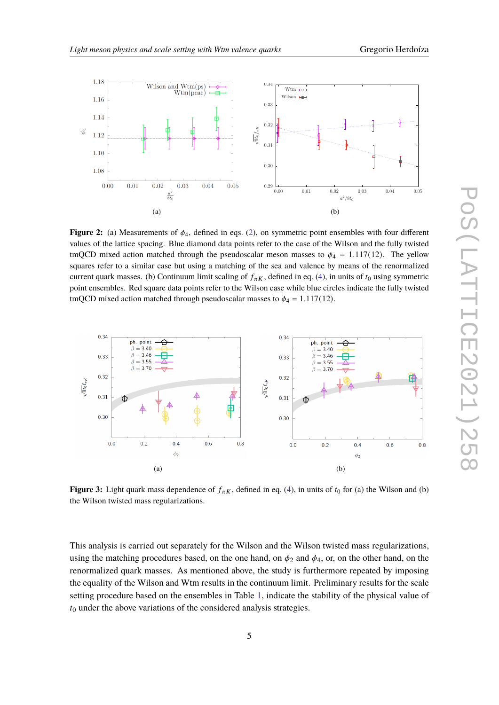<span id="page-4-0"></span>

**Figure 2:** (a) Measurements of  $\phi_4$ , defined in eqs. [\(2\)](#page-1-1), on symmetric point ensembles with four different values of the lattice spacing. Blue diamond data points refer to the case of the Wilson and the fully twisted tmQCD mixed action matched through the pseudoscalar meson masses to  $\phi_4 = 1.117(12)$ . The yellow squares refer to a similar case but using a matching of the sea and valence by means of the renormalized current quark masses. (b) Continuum limit scaling of  $f_{\pi K}$ , defined in eq. [\(4\)](#page-3-1), in units of  $t_0$  using symmetric point ensembles. Red square data points refer to the Wilson case while blue circles indicate the fully twisted tmQCD mixed action matched through pseudoscalar masses to  $\phi_4 = 1.117(12)$ .

<span id="page-4-1"></span>

**Figure 3:** Light quark mass dependence of  $f_{\pi K}$ , defined in eq. [\(4\)](#page-3-1), in units of  $t_0$  for (a) the Wilson and (b) the Wilson twisted mass regularizations.

This analysis is carried out separately for the Wilson and the Wilson twisted mass regularizations, using the matching procedures based, on the one hand, on  $\phi_2$  and  $\phi_4$ , or, on the other hand, on the renormalized quark masses. As mentioned above, the study is furthermore repeated by imposing the equality of the Wilson and Wtm results in the continuum limit. Preliminary results for the scale setting procedure based on the ensembles in Table [1,](#page-2-0) indicate the stability of the physical value of  $t_0$  under the above variations of the considered analysis strategies.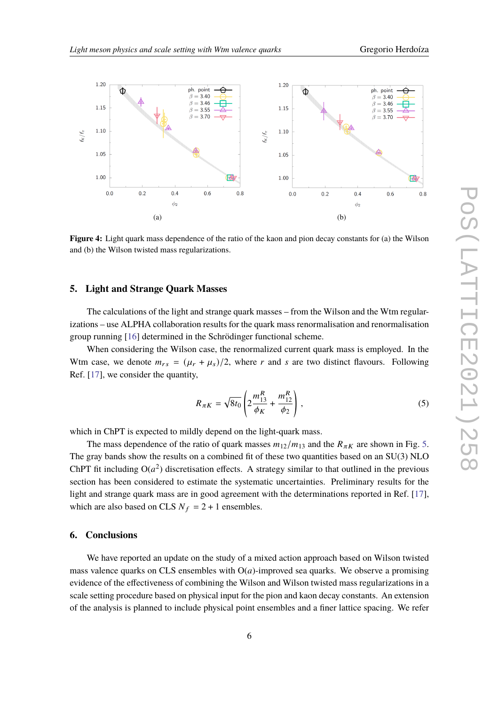<span id="page-5-0"></span>

**Figure 4:** Light quark mass dependence of the ratio of the kaon and pion decay constants for (a) the Wilson and (b) the Wilson twisted mass regularizations.

## **5. Light and Strange Quark Masses**

The calculations of the light and strange quark masses – from the Wilson and the Wtm regularizations – use ALPHA collaboration results for the quark mass renormalisation and renormalisation group running [\[16\]](#page-7-10) determined in the Schrödinger functional scheme.

When considering the Wilson case, the renormalized current quark mass is employed. In the Wtm case, we denote  $m_{rs} = (\mu_r + \mu_s)/2$ , where r and s are two distinct flavours. Following Ref. [\[17\]](#page-7-11), we consider the quantity,

<span id="page-5-1"></span>
$$
R_{\pi K} = \sqrt{8t_0} \left( 2 \frac{m_{13}^R}{\phi_K} + \frac{m_{12}^R}{\phi_2} \right),\tag{5}
$$

which in ChPT is expected to mildly depend on the light-quark mass.

The mass dependence of the ratio of quark masses  $m_{12}/m_{13}$  and the  $R_{\pi K}$  are shown in Fig. [5.](#page-6-3) The gray bands show the results on a combined fit of these two quantities based on an SU(3) NLO ChPT fit including  $O(a^2)$  discretisation effects. A strategy similar to that outlined in the previous section has been considered to estimate the systematic uncertainties. Preliminary results for the light and strange quark mass are in good agreement with the determinations reported in Ref. [\[17\]](#page-7-11), which are also based on CLS  $N_f = 2 + 1$  ensembles.

### **6. Conclusions**

We have reported an update on the study of a mixed action approach based on Wilson twisted mass valence quarks on CLS ensembles with  $O(a)$ -improved sea quarks. We observe a promising evidence of the effectiveness of combining the Wilson and Wilson twisted mass regularizations in a scale setting procedure based on physical input for the pion and kaon decay constants. An extension of the analysis is planned to include physical point ensembles and a finer lattice spacing. We refer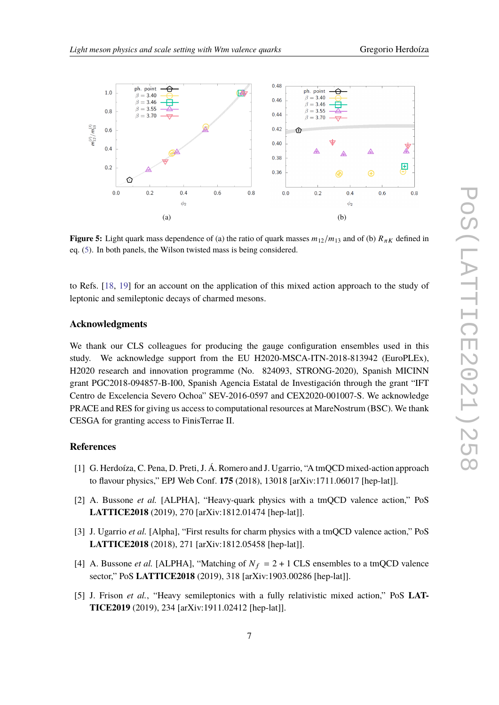<span id="page-6-3"></span>

**Figure 5:** Light quark mass dependence of (a) the ratio of quark masses  $m_{12}/m_{13}$  and of (b)  $R_{\pi K}$  defined in eq. [\(5\)](#page-5-1). In both panels, the Wilson twisted mass is being considered.

to Refs. [\[18,](#page-7-12) [19\]](#page-7-13) for an account on the application of this mixed action approach to the study of leptonic and semileptonic decays of charmed mesons.

## **Acknowledgments**

We thank our CLS colleagues for producing the gauge configuration ensembles used in this study. We acknowledge support from the EU H2020-MSCA-ITN-2018-813942 (EuroPLEx), H2020 research and innovation programme (No. 824093, STRONG-2020), Spanish MICINN grant PGC2018-094857-B-I00, Spanish Agencia Estatal de Investigación through the grant "IFT Centro de Excelencia Severo Ochoa" SEV-2016-0597 and CEX2020-001007-S. We acknowledge PRACE and RES for giving us access to computational resources at MareNostrum (BSC). We thank CESGA for granting access to FinisTerrae II.

## **References**

- <span id="page-6-0"></span>[1] G. Herdoíza, C. Pena, D. Preti, J. Á. Romero and J. Ugarrio, "A tmQCD mixed-action approach to flavour physics," EPJ Web Conf. **175** (2018), 13018 [arXiv:1711.06017 [hep-lat]].
- <span id="page-6-2"></span>[2] A. Bussone *et al.* [ALPHA], "Heavy-quark physics with a tmQCD valence action," PoS **LATTICE2018** (2019), 270 [arXiv:1812.01474 [hep-lat]].
- [3] J. Ugarrio *et al.* [Alpha], "First results for charm physics with a tmQCD valence action," PoS **LATTICE2018** (2018), 271 [arXiv:1812.05458 [hep-lat]].
- [4] A. Bussone *et al.* [ALPHA], "Matching of  $N_f = 2 + 1$  CLS ensembles to a tmQCD valence sector," PoS **LATTICE2018** (2019), 318 [arXiv:1903.00286 [hep-lat]].
- <span id="page-6-1"></span>[5] J. Frison *et al.*, "Heavy semileptonics with a fully relativistic mixed action," PoS **LAT-TICE2019** (2019), 234 [arXiv:1911.02412 [hep-lat]].